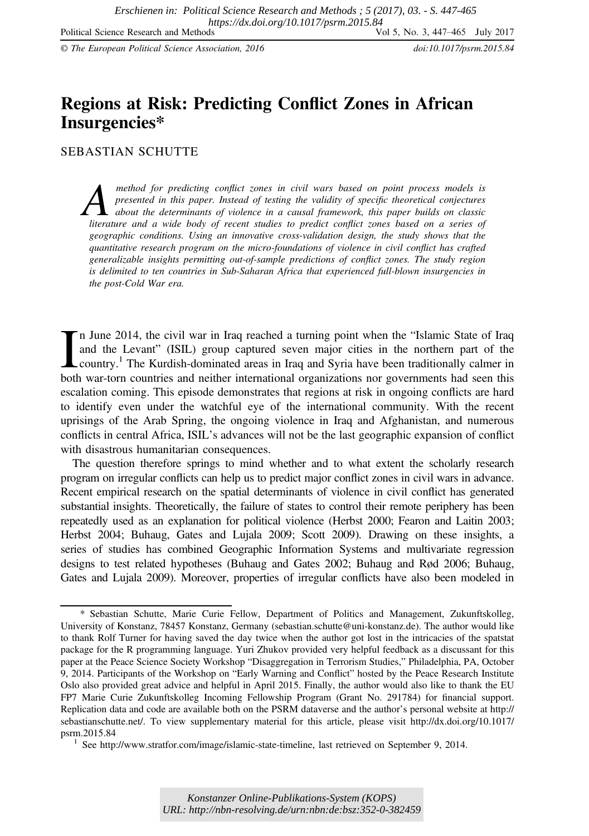© The European Political Science Association, 2016 doi:10.1017/psrm.2015.84

# Regions at Risk: Predicting Conflict Zones in African Insurgencies\*

## SEBASTIAN SCHUTTE

method for predicting conflict zones in civil wars based on point process models is<br>presented in this paper. Instead of testing the validity of specific theoretical conjectures<br>about the determinants of violence in a causa presented in this paper. Instead of testing the validity of specific theoretical conjectures literature and a wide body of recent studies to predict conflict zones based on a series of geographic conditions. Using an innovative cross-validation design, the study shows that the quantitative research program on the micro-foundations of violence in civil conflict has crafted generalizable insights permitting out-of-sample predictions of conflict zones. The study region is delimited to ten countries in Sub-Saharan Africa that experienced full-blown insurgencies in the post-Cold War era.

I<br>both n June 2014, the civil war in Iraq reached a turning point when the "Islamic State of Iraq and the Levant" (ISIL) group captured seven major cities in the northern part of the country.<sup>1</sup> The Kurdish-dominated areas in Iraq and Syria have been traditionally calmer in both war-torn countries and neither international organizations nor governments had seen this escalation coming. This episode demonstrates that regions at risk in ongoing conflicts are hard to identify even under the watchful eye of the international community. With the recent uprisings of the Arab Spring, the ongoing violence in Iraq and Afghanistan, and numerous conflicts in central Africa, ISIL's advances will not be the last geographic expansion of conflict with disastrous humanitarian consequences.

The question therefore springs to mind whether and to what extent the scholarly research program on irregular conflicts can help us to predict major conflict zones in civil wars in advance. Recent empirical research on the spatial determinants of violence in civil conflict has generated substantial insights. Theoretically, the failure of states to control their remote periphery has been repeatedly used as an explanation for political violence (Herbst [2000](#page-16-0); Fearon and Laitin [2003](#page-16-0); Herbst [2004](#page-16-0); Buhaug, Gates and Lujala [2009](#page-16-0); Scott [2009](#page-17-0)). Drawing on these insights, a series of studies has combined Geographic Information Systems and multivariate regression designs to test related hypotheses (Buhaug and Gates [2002](#page-16-0); Buhaug and Rød [2006](#page-16-0); Buhaug, Gates and Lujala [2009](#page-16-0)). Moreover, properties of irregular conflicts have also been modeled in

<sup>\*</sup> Sebastian Schutte, Marie Curie Fellow, Department of Politics and Management, Zukunftskolleg, University of Konstanz, 78457 Konstanz, Germany [\(sebastian.schutte@uni-konstanz.de](mailto:sebastian.schutte@uni-konstanz.de)). The author would like to thank Rolf Turner for having saved the day twice when the author got lost in the intricacies of the spatstat package for the R programming language. Yuri Zhukov provided very helpful feedback as a discussant for this paper at the Peace Science Society Workshop "Disaggregation in Terrorism Studies," Philadelphia, PA, October 9, 2014. Participants of the Workshop on "Early Warning and Conflict" hosted by the Peace Research Institute Oslo also provided great advice and helpful in April 2015. Finally, the author would also like to thank the EU FP7 Marie Curie Zukunftskolleg Incoming Fellowship Program (Grant No. 291784) for financial support. Replication data and code are available both on the PSRM dataverse and the author's personal website at [http://](http://sebastianschutte.net/) [sebastianschutte.net/.](http://sebastianschutte.net/) To view supplementary material for this article, please visit [http://dx.doi.org/10.1017/](http://dx.doi.org/10.1017/psrm.2015.84) [psrm.2015.84](http://dx.doi.org/10.1017/psrm.2015.84) <sup>1</sup> See [http://www.stratfor.com/image/islamic-state-timeline,](http://www.stratfor.com/image/islamic-state-timeline) last retrieved on September 9, 2014.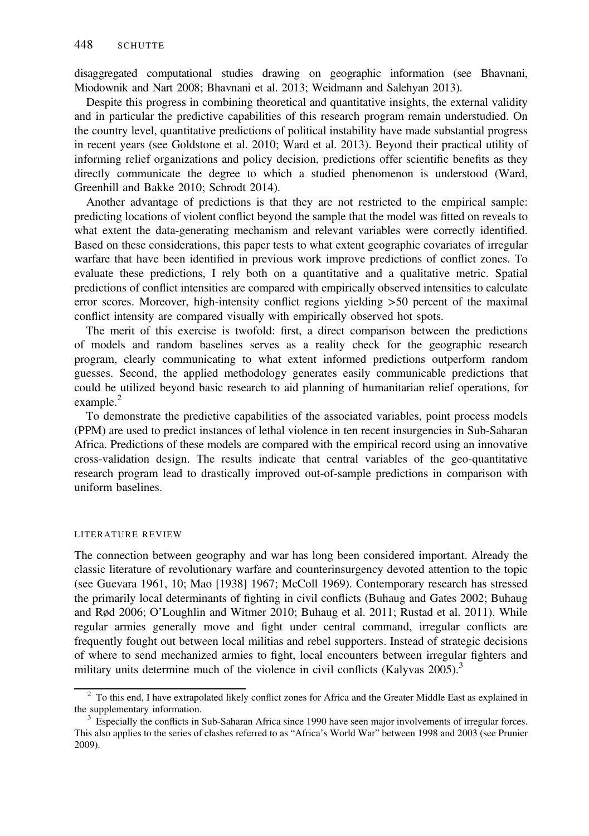disaggregated computational studies drawing on geographic information (see Bhavnani, Miodownik and Nart [2008](#page-15-0); Bhavnani et al. [2013](#page-15-0); Weidmann and Salehyan [2013\)](#page-18-0).

Despite this progress in combining theoretical and quantitative insights, the external validity and in particular the predictive capabilities of this research program remain understudied. On the country level, quantitative predictions of political instability have made substantial progress in recent years (see Goldstone et al. [2010;](#page-16-0) Ward et al. [2013](#page-18-0)). Beyond their practical utility of informing relief organizations and policy decision, predictions offer scientific benefits as they directly communicate the degree to which a studied phenomenon is understood (Ward, Greenhill and Bakke [2010](#page-17-0); Schrodt [2014](#page-17-0)).

Another advantage of predictions is that they are not restricted to the empirical sample: predicting locations of violent conflict beyond the sample that the model was fitted on reveals to what extent the data-generating mechanism and relevant variables were correctly identified. Based on these considerations, this paper tests to what extent geographic covariates of irregular warfare that have been identified in previous work improve predictions of conflict zones. To evaluate these predictions, I rely both on a quantitative and a qualitative metric. Spatial predictions of conflict intensities are compared with empirically observed intensities to calculate error scores. Moreover, high-intensity conflict regions yielding >50 percent of the maximal conflict intensity are compared visually with empirically observed hot spots.

The merit of this exercise is twofold: first, a direct comparison between the predictions of models and random baselines serves as a reality check for the geographic research program, clearly communicating to what extent informed predictions outperform random guesses. Second, the applied methodology generates easily communicable predictions that could be utilized beyond basic research to aid planning of humanitarian relief operations, for example. $^{2}$ 

To demonstrate the predictive capabilities of the associated variables, point process models (PPM) are used to predict instances of lethal violence in ten recent insurgencies in Sub-Saharan Africa. Predictions of these models are compared with the empirical record using an innovative cross-validation design. The results indicate that central variables of the geo-quantitative research program lead to drastically improved out-of-sample predictions in comparison with uniform baselines.

#### LITERATURE REVIEW

The connection between geography and war has long been considered important. Already the classic literature of revolutionary warfare and counterinsurgency devoted attention to the topic (see Guevara [1961,](#page-16-0) 10; Mao [1938] [1967](#page-17-0); McColl [1969](#page-17-0)). Contemporary research has stressed the primarily local determinants of fighting in civil conflicts (Buhaug and Gates [2002](#page-16-0); Buhaug and Rød [2006;](#page-16-0) O'Loughlin and Witmer [2010](#page-17-0); Buhaug et al. [2011](#page-16-0); Rustad et al. [2011](#page-17-0)). While regular armies generally move and fight under central command, irregular conflicts are frequently fought out between local militias and rebel supporters. Instead of strategic decisions of where to send mechanized armies to fight, local encounters between irregular fighters and military units determine much of the violence in civil conflicts (Kalyvas  $2005$ ).<sup>3</sup>

 $2$  To this end, I have extrapolated likely conflict zones for Africa and the Greater Middle East as explained in the supplementary information.<br><sup>3</sup> Especially the conflicts in Sub-Saharan Africa since 1990 have seen major involvements of irregular forces.

This also applies to the series of clashes referred to as "Africa's World War" between 1998 and 2003 (see Prunier [2009](#page-17-0)).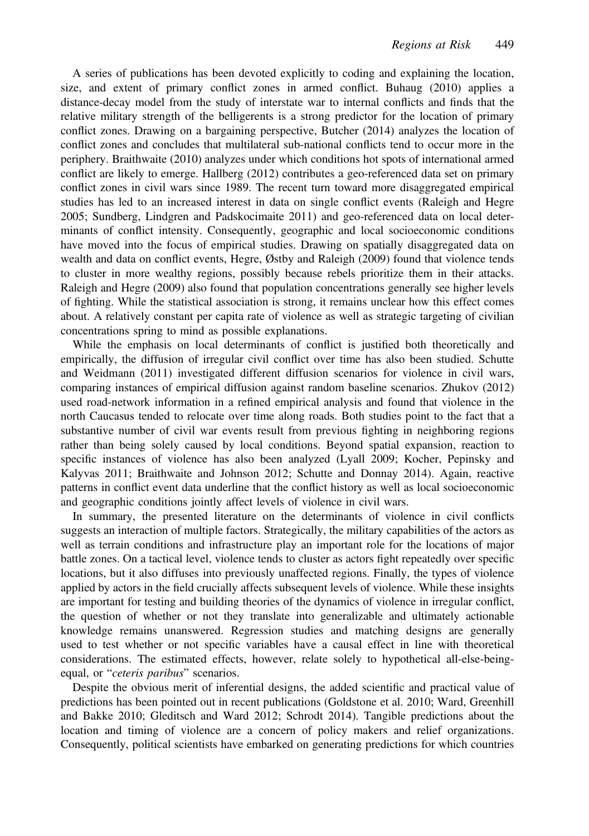A series of publications has been devoted explicitly to coding and explaining the location, size, and extent of primary conflict zones in armed conflict. Buhaug [\(2010](#page-16-0)) applies a distance-decay model from the study of interstate war to internal conflicts and finds that the relative military strength of the belligerents is a strong predictor for the location of primary conflict zones. Drawing on a bargaining perspective, Butcher [\(2014](#page-16-0)) analyzes the location of conflict zones and concludes that multilateral sub-national conflicts tend to occur more in the periphery. Braithwaite ([2010\)](#page-15-0) analyzes under which conditions hot spots of international armed conflict are likely to emerge. Hallberg [\(2012](#page-16-0)) contributes a geo-referenced data set on primary conflict zones in civil wars since 1989. The recent turn toward more disaggregated empirical studies has led to an increased interest in data on single conflict events (Raleigh and Hegre [2005;](#page-17-0) Sundberg, Lindgren and Padskocimaite [2011\)](#page-17-0) and geo-referenced data on local determinants of conflict intensity. Consequently, geographic and local socioeconomic conditions have moved into the focus of empirical studies. Drawing on spatially disaggregated data on wealth and data on conflict events, Hegre, Østby and Raleigh [\(2009](#page-16-0)) found that violence tends to cluster in more wealthy regions, possibly because rebels prioritize them in their attacks. Raleigh and Hegre [\(2009](#page-17-0)) also found that population concentrations generally see higher levels of fighting. While the statistical association is strong, it remains unclear how this effect comes about. A relatively constant per capita rate of violence as well as strategic targeting of civilian concentrations spring to mind as possible explanations.

While the emphasis on local determinants of conflict is justified both theoretically and empirically, the diffusion of irregular civil conflict over time has also been studied. Schutte and Weidmann [\(2011\)](#page-17-0) investigated different diffusion scenarios for violence in civil wars, comparing instances of empirical diffusion against random baseline scenarios. Zhukov [\(2012](#page-18-0)) used road-network information in a refined empirical analysis and found that violence in the north Caucasus tended to relocate over time along roads. Both studies point to the fact that a substantive number of civil war events result from previous fighting in neighboring regions rather than being solely caused by local conditions. Beyond spatial expansion, reaction to specific instances of violence has also been analyzed (Lyall [2009;](#page-17-0) Kocher, Pepinsky and Kalyvas [2011;](#page-17-0) Braithwaite and Johnson [2012;](#page-15-0) Schutte and Donnay 2014). Again, reactive patterns in conflict event data underline that the conflict history as well as local socioeconomic and geographic conditions jointly affect levels of violence in civil wars.

In summary, the presented literature on the determinants of violence in civil conflicts suggests an interaction of multiple factors. Strategically, the military capabilities of the actors as well as terrain conditions and infrastructure play an important role for the locations of major battle zones. On a tactical level, violence tends to cluster as actors fight repeatedly over specific locations, but it also diffuses into previously unaffected regions. Finally, the types of violence applied by actors in the field crucially affects subsequent levels of violence. While these insights are important for testing and building theories of the dynamics of violence in irregular conflict, the question of whether or not they translate into generalizable and ultimately actionable knowledge remains unanswered. Regression studies and matching designs are generally used to test whether or not specific variables have a causal effect in line with theoretical considerations. The estimated effects, however, relate solely to hypothetical all-else-beingequal, or "*ceteris paribus*" scenarios.

Despite the obvious merit of inferential designs, the added scientific and practical value of predictions has been pointed out in recent publications (Goldstone et al. [2010;](#page-16-0) Ward, Greenhill and Bakke [2010;](#page-17-0) Gleditsch and Ward [2012;](#page-16-0) Schrodt [2014\)](#page-17-0). Tangible predictions about the location and timing of violence are a concern of policy makers and relief organizations. Consequently, political scientists have embarked on generating predictions for which countries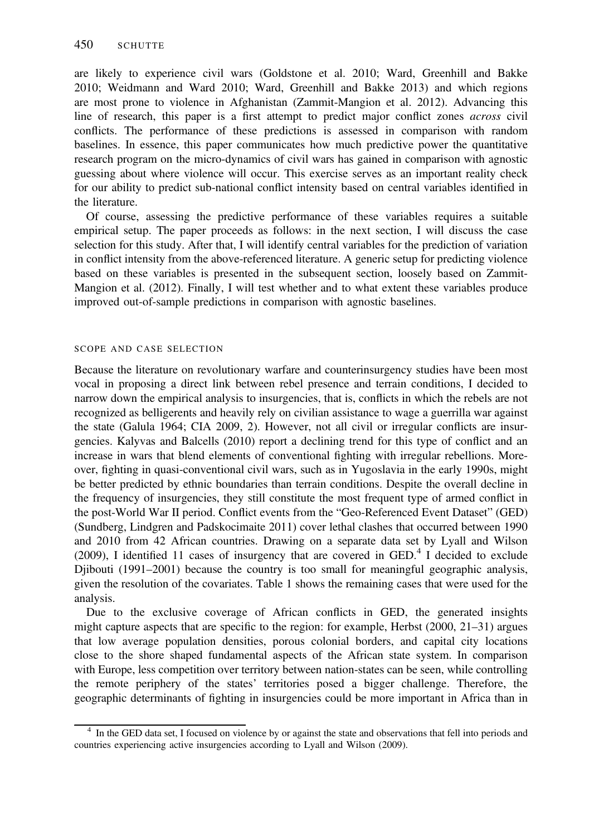are likely to experience civil wars (Goldstone et al. [2010](#page-16-0); Ward, Greenhill and Bakke [2010](#page-17-0); Weidmann and Ward [2010](#page-18-0); Ward, Greenhill and Bakke [2013\)](#page-18-0) and which regions are most prone to violence in Afghanistan (Zammit-Mangion et al. [2012](#page-18-0)). Advancing this line of research, this paper is a first attempt to predict major conflict zones across civil conflicts. The performance of these predictions is assessed in comparison with random baselines. In essence, this paper communicates how much predictive power the quantitative research program on the micro-dynamics of civil wars has gained in comparison with agnostic guessing about where violence will occur. This exercise serves as an important reality check for our ability to predict sub-national conflict intensity based on central variables identified in the literature.

Of course, assessing the predictive performance of these variables requires a suitable empirical setup. The paper proceeds as follows: in the next section, I will discuss the case selection for this study. After that, I will identify central variables for the prediction of variation in conflict intensity from the above-referenced literature. A generic setup for predicting violence based on these variables is presented in the subsequent section, loosely based on Zammit-Mangion et al. [\(2012](#page-18-0)). Finally, I will test whether and to what extent these variables produce improved out-of-sample predictions in comparison with agnostic baselines.

#### SCOPE AND CASE SELECTION

Because the literature on revolutionary warfare and counterinsurgency studies have been most vocal in proposing a direct link between rebel presence and terrain conditions, I decided to narrow down the empirical analysis to insurgencies, that is, conflicts in which the rebels are not recognized as belligerents and heavily rely on civilian assistance to wage a guerrilla war against the state (Galula [1964](#page-16-0); CIA [2009,](#page-16-0) 2). However, not all civil or irregular conflicts are insurgencies. Kalyvas and Balcells [\(2010](#page-16-0)) report a declining trend for this type of conflict and an increase in wars that blend elements of conventional fighting with irregular rebellions. Moreover, fighting in quasi-conventional civil wars, such as in Yugoslavia in the early 1990s, might be better predicted by ethnic boundaries than terrain conditions. Despite the overall decline in the frequency of insurgencies, they still constitute the most frequent type of armed conflict in the post-World War II period. Conflict events from the "Geo-Referenced Event Dataset" (GED) (Sundberg, Lindgren and Padskocimaite [2011](#page-17-0)) cover lethal clashes that occurred between 1990 and 2010 from 42 African countries. Drawing on a separate data set by Lyall and Wilson [\(2009](#page-17-0)), I identified 11 cases of insurgency that are covered in GED.<sup>4</sup> I decided to exclude Djibouti (1991–2001) because the country is too small for meaningful geographic analysis, given the resolution of the covariates. [Table 1](#page-4-0) shows the remaining cases that were used for the analysis.

Due to the exclusive coverage of African conflicts in GED, the generated insights might capture aspects that are specific to the region: for example, Herbst ([2000,](#page-16-0) 21–31) argues that low average population densities, porous colonial borders, and capital city locations close to the shore shaped fundamental aspects of the African state system. In comparison with Europe, less competition over territory between nation-states can be seen, while controlling the remote periphery of the states' territories posed a bigger challenge. Therefore, the geographic determinants of fighting in insurgencies could be more important in Africa than in

<sup>&</sup>lt;sup>4</sup> In the GED data set, I focused on violence by or against the state and observations that fell into periods and countries experiencing active insurgencies according to Lyall and Wilson ([2009\)](#page-17-0).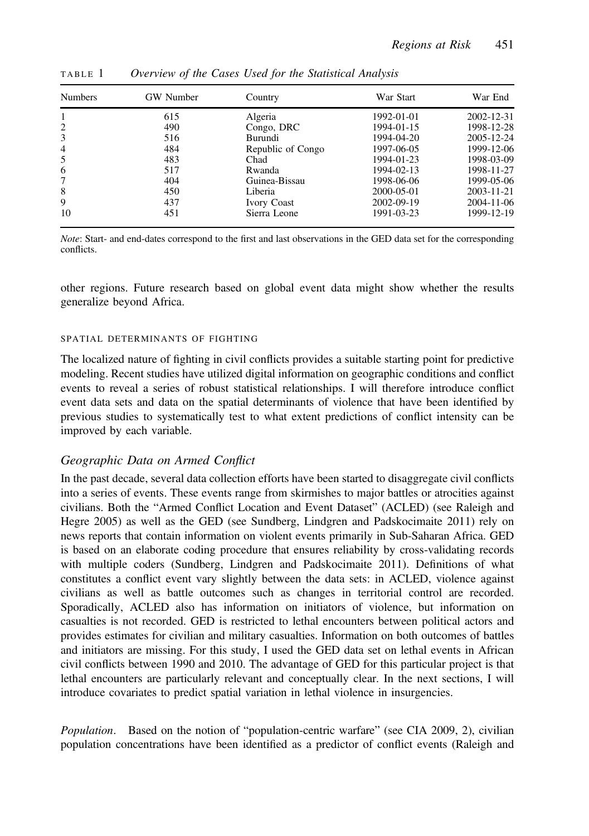| <b>Numbers</b> | GW Number | Country            | War Start  | War End    |
|----------------|-----------|--------------------|------------|------------|
|                | 615       | Algeria            | 1992-01-01 | 2002-12-31 |
| 2              | 490       | Congo, DRC         | 1994-01-15 | 1998-12-28 |
| 3              | 516       | Burundi            | 1994-04-20 | 2005-12-24 |
| $\overline{4}$ | 484       | Republic of Congo  | 1997-06-05 | 1999-12-06 |
| 5              | 483       | Chad               | 1994-01-23 | 1998-03-09 |
| 6              | 517       | Rwanda             | 1994-02-13 | 1998-11-27 |
| 7              | 404       | Guinea-Bissau      | 1998-06-06 | 1999-05-06 |
| 8              | 450       | Liberia            | 2000-05-01 | 2003-11-21 |
| 9              | 437       | <b>Ivory Coast</b> | 2002-09-19 | 2004-11-06 |
| 10             | 451       | Sierra Leone       | 1991-03-23 | 1999-12-19 |

<span id="page-4-0"></span>TABLE 1 Overview of the Cases Used for the Statistical Analysis

Note: Start- and end-dates correspond to the first and last observations in the GED data set for the corresponding conflicts.

other regions. Future research based on global event data might show whether the results generalize beyond Africa.

#### SPATIAL DETERMINANTS OF FIGHTING

The localized nature of fighting in civil conflicts provides a suitable starting point for predictive modeling. Recent studies have utilized digital information on geographic conditions and conflict events to reveal a series of robust statistical relationships. I will therefore introduce conflict event data sets and data on the spatial determinants of violence that have been identified by previous studies to systematically test to what extent predictions of conflict intensity can be improved by each variable.

## Geographic Data on Armed Conflict

In the past decade, several data collection efforts have been started to disaggregate civil conflicts into a series of events. These events range from skirmishes to major battles or atrocities against civilians. Both the "Armed Conflict Location and Event Dataset" (ACLED) (see Raleigh and Hegre [2005\)](#page-17-0) as well as the GED (see Sundberg, Lindgren and Padskocimaite [2011\)](#page-17-0) rely on news reports that contain information on violent events primarily in Sub-Saharan Africa. GED is based on an elaborate coding procedure that ensures reliability by cross-validating records with multiple coders (Sundberg, Lindgren and Padskocimaite [2011](#page-17-0)). Definitions of what constitutes a conflict event vary slightly between the data sets: in ACLED, violence against civilians as well as battle outcomes such as changes in territorial control are recorded. Sporadically, ACLED also has information on initiators of violence, but information on casualties is not recorded. GED is restricted to lethal encounters between political actors and provides estimates for civilian and military casualties. Information on both outcomes of battles and initiators are missing. For this study, I used the GED data set on lethal events in African civil conflicts between 1990 and 2010. The advantage of GED for this particular project is that lethal encounters are particularly relevant and conceptually clear. In the next sections, I will introduce covariates to predict spatial variation in lethal violence in insurgencies.

*Population.* Based on the notion of "population-centric warfare" (see CIA [2009](#page-16-0), 2), civilian population concentrations have been identified as a predictor of conflict events (Raleigh and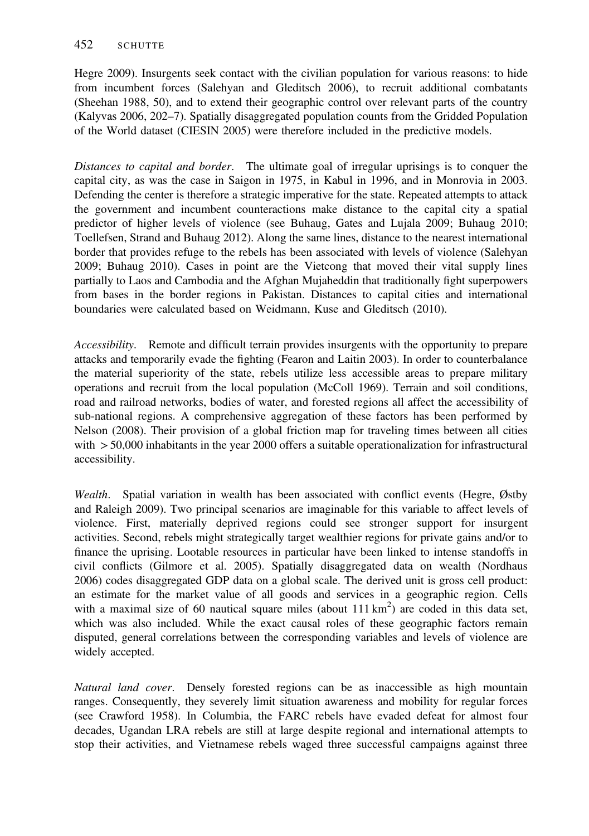Hegre [2009\)](#page-17-0). Insurgents seek contact with the civilian population for various reasons: to hide from incumbent forces (Salehyan and Gleditsch [2006\)](#page-17-0), to recruit additional combatants (Sheehan [1988](#page-17-0), 50), and to extend their geographic control over relevant parts of the country (Kalyvas [2006,](#page-16-0) 202–7). Spatially disaggregated population counts from the Gridded Population of the World dataset (CIESIN [2005\)](#page-16-0) were therefore included in the predictive models.

Distances to capital and border. The ultimate goal of irregular uprisings is to conquer the capital city, as was the case in Saigon in 1975, in Kabul in 1996, and in Monrovia in 2003. Defending the center is therefore a strategic imperative for the state. Repeated attempts to attack the government and incumbent counteractions make distance to the capital city a spatial predictor of higher levels of violence (see Buhaug, Gates and Lujala [2009;](#page-16-0) Buhaug [2010](#page-16-0); Toellefsen, Strand and Buhaug [2012\)](#page-17-0). Along the same lines, distance to the nearest international border that provides refuge to the rebels has been associated with levels of violence (Salehyan [2009](#page-17-0); Buhaug [2010](#page-16-0)). Cases in point are the Vietcong that moved their vital supply lines partially to Laos and Cambodia and the Afghan Mujaheddin that traditionally fight superpowers from bases in the border regions in Pakistan. Distances to capital cities and international boundaries were calculated based on Weidmann, Kuse and Gleditsch ([2010\)](#page-18-0).

Accessibility. Remote and difficult terrain provides insurgents with the opportunity to prepare attacks and temporarily evade the fighting (Fearon and Laitin [2003\)](#page-16-0). In order to counterbalance the material superiority of the state, rebels utilize less accessible areas to prepare military operations and recruit from the local population (McColl [1969\)](#page-17-0). Terrain and soil conditions, road and railroad networks, bodies of water, and forested regions all affect the accessibility of sub-national regions. A comprehensive aggregation of these factors has been performed by Nelson [\(2008](#page-17-0)). Their provision of a global friction map for traveling times between all cities with  $> 50,000$  inhabitants in the year 2000 offers a suitable operationalization for infrastructural accessibility.

Wealth. Spatial variation in wealth has been associated with conflict events (Hegre, Østby and Raleigh [2009\)](#page-16-0). Two principal scenarios are imaginable for this variable to affect levels of violence. First, materially deprived regions could see stronger support for insurgent activities. Second, rebels might strategically target wealthier regions for private gains and/or to finance the uprising. Lootable resources in particular have been linked to intense standoffs in civil conflicts (Gilmore et al. [2005\)](#page-16-0). Spatially disaggregated data on wealth (Nordhaus [2006](#page-17-0)) codes disaggregated GDP data on a global scale. The derived unit is gross cell product: an estimate for the market value of all goods and services in a geographic region. Cells with a maximal size of 60 nautical square miles (about  $111 \text{ km}^2$ ) are coded in this data set, which was also included. While the exact causal roles of these geographic factors remain disputed, general correlations between the corresponding variables and levels of violence are widely accepted.

Natural land cover. Densely forested regions can be as inaccessible as high mountain ranges. Consequently, they severely limit situation awareness and mobility for regular forces (see Crawford [1958\)](#page-16-0). In Columbia, the FARC rebels have evaded defeat for almost four decades, Ugandan LRA rebels are still at large despite regional and international attempts to stop their activities, and Vietnamese rebels waged three successful campaigns against three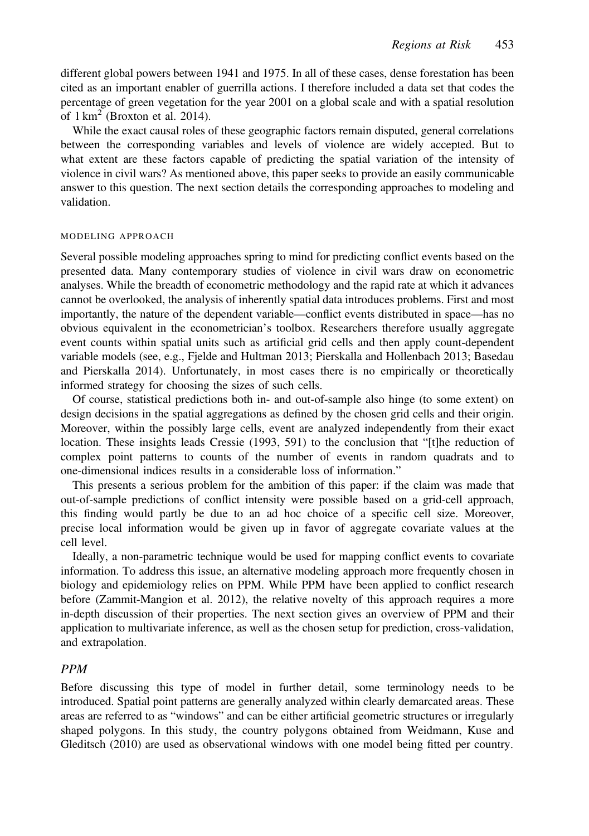different global powers between 1941 and 1975. In all of these cases, dense forestation has been cited as an important enabler of guerrilla actions. I therefore included a data set that codes the percentage of green vegetation for the year 2001 on a global scale and with a spatial resolution of  $1 \text{ km}^2$  (Broxton et al. [2014](#page-15-0)).

While the exact causal roles of these geographic factors remain disputed, general correlations between the corresponding variables and levels of violence are widely accepted. But to what extent are these factors capable of predicting the spatial variation of the intensity of violence in civil wars? As mentioned above, this paper seeks to provide an easily communicable answer to this question. The next section details the corresponding approaches to modeling and validation.

#### MODELING APPROACH

Several possible modeling approaches spring to mind for predicting conflict events based on the presented data. Many contemporary studies of violence in civil wars draw on econometric analyses. While the breadth of econometric methodology and the rapid rate at which it advances cannot be overlooked, the analysis of inherently spatial data introduces problems. First and most importantly, the nature of the dependent variable—conflict events distributed in space—has no obvious equivalent in the econometrician's toolbox. Researchers therefore usually aggregate event counts within spatial units such as artificial grid cells and then apply count-dependent variable models (see, e.g., Fjelde and Hultman [2013](#page-16-0); Pierskalla and Hollenbach [2013;](#page-17-0) Basedau and Pierskalla [2014](#page-15-0)). Unfortunately, in most cases there is no empirically or theoretically informed strategy for choosing the sizes of such cells.

Of course, statistical predictions both in- and out-of-sample also hinge (to some extent) on design decisions in the spatial aggregations as defined by the chosen grid cells and their origin. Moreover, within the possibly large cells, event are analyzed independently from their exact location. These insights leads Cressie [\(1993](#page-16-0), 591) to the conclusion that "[t]he reduction of complex point patterns to counts of the number of events in random quadrats and to one-dimensional indices results in a considerable loss of information."

This presents a serious problem for the ambition of this paper: if the claim was made that out-of-sample predictions of conflict intensity were possible based on a grid-cell approach, this finding would partly be due to an ad hoc choice of a specific cell size. Moreover, precise local information would be given up in favor of aggregate covariate values at the cell level.

Ideally, a non-parametric technique would be used for mapping conflict events to covariate information. To address this issue, an alternative modeling approach more frequently chosen in biology and epidemiology relies on PPM. While PPM have been applied to conflict research before (Zammit-Mangion et al. [2012](#page-18-0)), the relative novelty of this approach requires a more in-depth discussion of their properties. The next section gives an overview of PPM and their application to multivariate inference, as well as the chosen setup for prediction, cross-validation, and extrapolation.

## PPM

Before discussing this type of model in further detail, some terminology needs to be introduced. Spatial point patterns are generally analyzed within clearly demarcated areas. These areas are referred to as "windows" and can be either artificial geometric structures or irregularly shaped polygons. In this study, the country polygons obtained from Weidmann, Kuse and Gleditsch [\(2010](#page-18-0)) are used as observational windows with one model being fitted per country.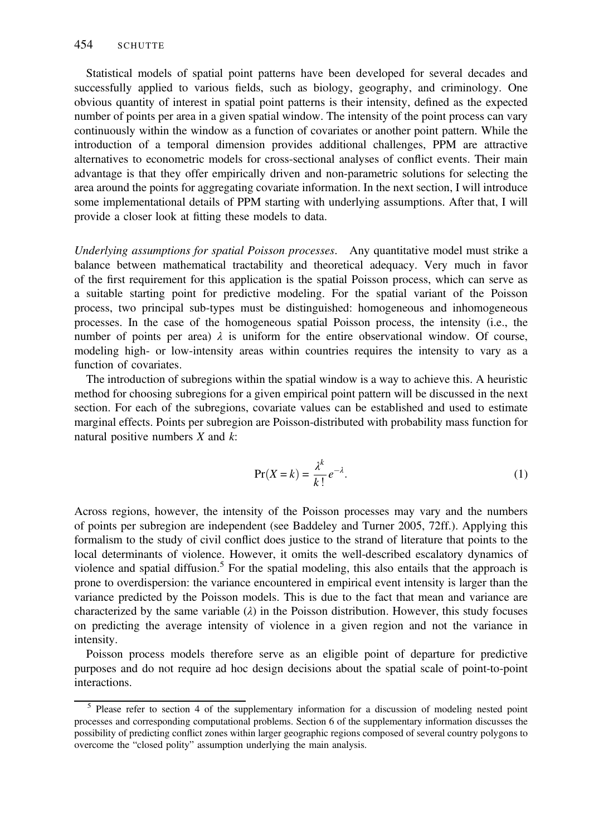Statistical models of spatial point patterns have been developed for several decades and successfully applied to various fields, such as biology, geography, and criminology. One obvious quantity of interest in spatial point patterns is their intensity, defined as the expected number of points per area in a given spatial window. The intensity of the point process can vary continuously within the window as a function of covariates or another point pattern. While the introduction of a temporal dimension provides additional challenges, PPM are attractive alternatives to econometric models for cross-sectional analyses of conflict events. Their main advantage is that they offer empirically driven and non-parametric solutions for selecting the area around the points for aggregating covariate information. In the next section, I will introduce some implementational details of PPM starting with underlying assumptions. After that, I will provide a closer look at fitting these models to data.

Underlying assumptions for spatial Poisson processes. Any quantitative model must strike a balance between mathematical tractability and theoretical adequacy. Very much in favor of the first requirement for this application is the spatial Poisson process, which can serve as a suitable starting point for predictive modeling. For the spatial variant of the Poisson process, two principal sub-types must be distinguished: homogeneous and inhomogeneous processes. In the case of the homogeneous spatial Poisson process, the intensity (i.e., the number of points per area)  $\lambda$  is uniform for the entire observational window. Of course, modeling high- or low-intensity areas within countries requires the intensity to vary as a function of covariates.

The introduction of subregions within the spatial window is a way to achieve this. A heuristic method for choosing subregions for a given empirical point pattern will be discussed in the next section. For each of the subregions, covariate values can be established and used to estimate marginal effects. Points per subregion are Poisson-distributed with probability mass function for natural positive numbers  $X$  and  $k$ :

$$
\Pr(X = k) = \frac{\lambda^k}{k!} e^{-\lambda}.\tag{1}
$$

Across regions, however, the intensity of the Poisson processes may vary and the numbers of points per subregion are independent (see Baddeley and Turner 2005, 72ff.). Applying this formalism to the study of civil conflict does justice to the strand of literature that points to the local determinants of violence. However, it omits the well-described escalatory dynamics of violence and spatial diffusion.<sup>5</sup> For the spatial modeling, this also entails that the approach is prone to overdispersion: the variance encountered in empirical event intensity is larger than the variance predicted by the Poisson models. This is due to the fact that mean and variance are characterized by the same variable  $(\lambda)$  in the Poisson distribution. However, this study focuses on predicting the average intensity of violence in a given region and not the variance in intensity.

Poisson process models therefore serve as an eligible point of departure for predictive purposes and do not require ad hoc design decisions about the spatial scale of point-to-point interactions.

<sup>5</sup> Please refer to section 4 of the supplementary information for a discussion of modeling nested point processes and corresponding computational problems. Section 6 of the supplementary information discusses the possibility of predicting conflict zones within larger geographic regions composed of several country polygons to overcome the "closed polity" assumption underlying the main analysis.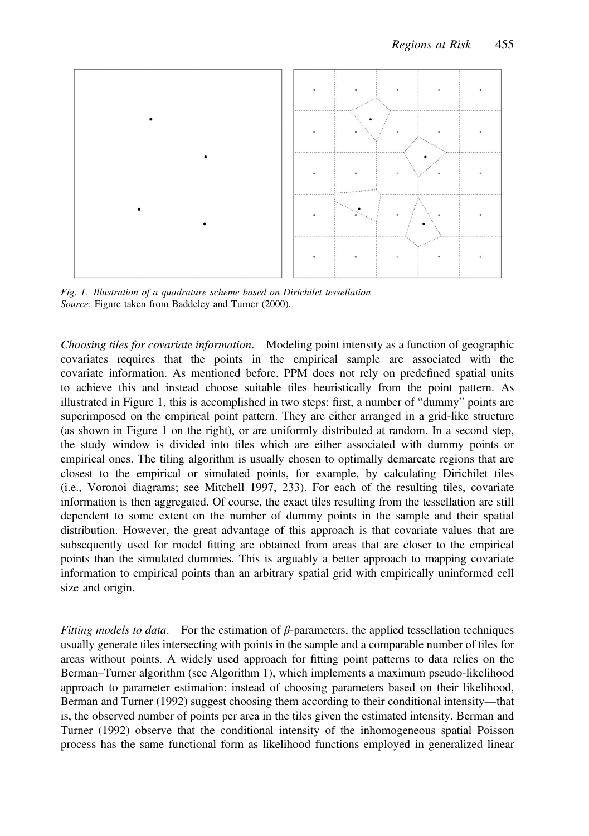

Fig. 1. Illustration of a quadrature scheme based on Dirichilet tessellation Source: Figure taken from Baddeley and Turner ([2000\)](#page-15-0).

Choosing tiles for covariate information. Modeling point intensity as a function of geographic covariates requires that the points in the empirical sample are associated with the covariate information. As mentioned before, PPM does not rely on predefined spatial units to achieve this and instead choose suitable tiles heuristically from the point pattern. As illustrated in Figure 1, this is accomplished in two steps: first, a number of "dummy" points are superimposed on the empirical point pattern. They are either arranged in a grid-like structure (as shown in Figure 1 on the right), or are uniformly distributed at random. In a second step, the study window is divided into tiles which are either associated with dummy points or empirical ones. The tiling algorithm is usually chosen to optimally demarcate regions that are closest to the empirical or simulated points, for example, by calculating Dirichilet tiles (i.e., Voronoi diagrams; see Mitchell [1997](#page-17-0), 233). For each of the resulting tiles, covariate information is then aggregated. Of course, the exact tiles resulting from the tessellation are still dependent to some extent on the number of dummy points in the sample and their spatial distribution. However, the great advantage of this approach is that covariate values that are subsequently used for model fitting are obtained from areas that are closer to the empirical points than the simulated dummies. This is arguably a better approach to mapping covariate information to empirical points than an arbitrary spatial grid with empirically uninformed cell size and origin.

*Fitting models to data.* For the estimation of  $\beta$ -parameters, the applied tessellation techniques usually generate tiles intersecting with points in the sample and a comparable number of tiles for areas without points. A widely used approach for fitting point patterns to data relies on the Berman–Turner algorithm (see Algorithm 1), which implements a maximum pseudo-likelihood approach to parameter estimation: instead of choosing parameters based on their likelihood, Berman and Turner [\(1992\)](#page-15-0) suggest choosing them according to their conditional intensity—that is, the observed number of points per area in the tiles given the estimated intensity. Berman and Turner [\(1992](#page-15-0)) observe that the conditional intensity of the inhomogeneous spatial Poisson process has the same functional form as likelihood functions employed in generalized linear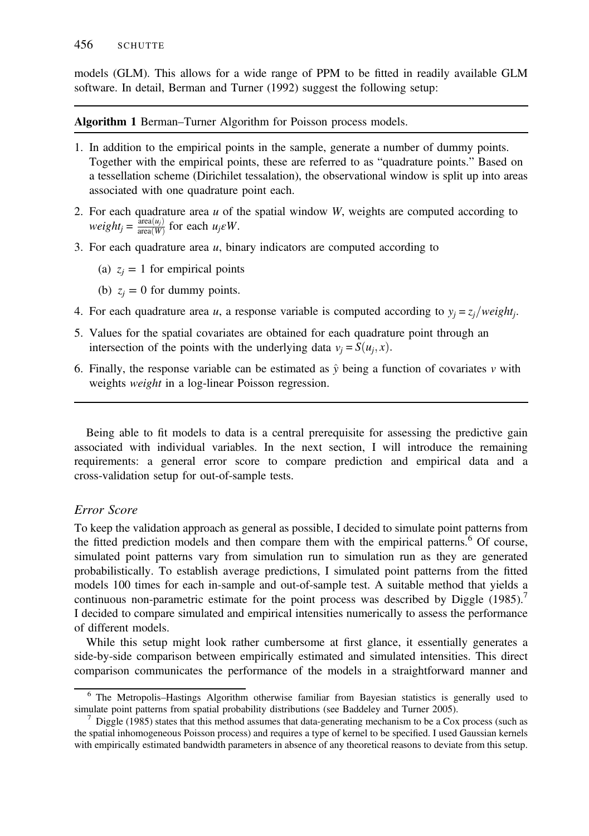models (GLM). This allows for a wide range of PPM to be fitted in readily available GLM software. In detail, Berman and Turner ([1992\)](#page-15-0) suggest the following setup:

Algorithm 1 Berman–Turner Algorithm for Poisson process models.

- 1. In addition to the empirical points in the sample, generate a number of dummy points. Together with the empirical points, these are referred to as "quadrature points." Based on a tessellation scheme (Dirichilet tessalation), the observational window is split up into areas associated with one quadrature point each.
- 2. For each quadrature area  $u$  of the spatial window  $W$ , weights are computed according to  $weight_j = \frac{\text{area}(u_j)}{\text{area}(W)}$  for each  $u_j \in W$ .
- 3. For each quadrature area  $u$ , binary indicators are computed according to
	- (a)  $z_i = 1$  for empirical points
	- (b)  $z_i = 0$  for dummy points.
- 4. For each quadrature area u, a response variable is computed according to  $y_i = z_i/weight_i$ .
- 5. Values for the spatial covariates are obtained for each quadrature point through an intersection of the points with the underlying data  $v_i = S(u_i, x)$ .
- 6. Finally, the response variable can be estimated as  $\hat{v}$  being a function of covariates v with weights weight in a log-linear Poisson regression.

Being able to fit models to data is a central prerequisite for assessing the predictive gain associated with individual variables. In the next section, I will introduce the remaining requirements: a general error score to compare prediction and empirical data and a cross-validation setup for out-of-sample tests.

## Error Score

To keep the validation approach as general as possible, I decided to simulate point patterns from the fitted prediction models and then compare them with the empirical patterns.<sup>6</sup> Of course, simulated point patterns vary from simulation run to simulation run as they are generated probabilistically. To establish average predictions, I simulated point patterns from the fitted models 100 times for each in-sample and out-of-sample test. A suitable method that yields a continuous non-parametric estimate for the point process was described by Diggle  $(1985)$  $(1985)$ .<sup>7</sup> I decided to compare simulated and empirical intensities numerically to assess the performance of different models.

While this setup might look rather cumbersome at first glance, it essentially generates a side-by-side comparison between empirically estimated and simulated intensities. This direct comparison communicates the performance of the models in a straightforward manner and

<sup>&</sup>lt;sup>6</sup> The Metropolis–Hastings Algorithm otherwise familiar from Bayesian statistics is generally used to simulate point patterns from spatial probability distributions (see Baddeley and Turner 2005).

 $\frac{7}{10}$  Diggle [\(1985](#page-16-0)) states that this method assumes that data-generating mechanism to be a Cox process (such as the spatial inhomogeneous Poisson process) and requires a type of kernel to be specified. I used Gaussian kernels with empirically estimated bandwidth parameters in absence of any theoretical reasons to deviate from this setup.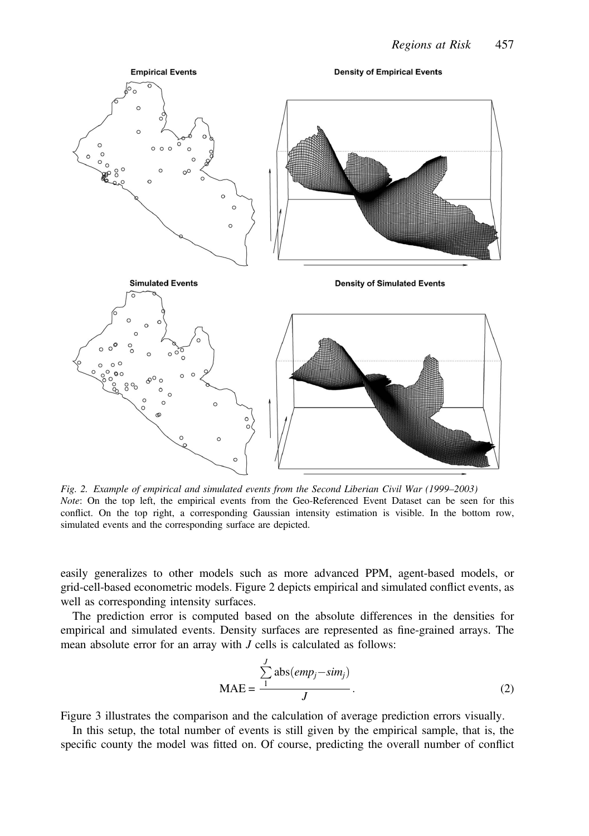

Fig. 2. Example of empirical and simulated events from the Second Liberian Civil War (1999–2003) Note: On the top left, the empirical events from the Geo-Referenced Event Dataset can be seen for this conflict. On the top right, a corresponding Gaussian intensity estimation is visible. In the bottom row, simulated events and the corresponding surface are depicted.

easily generalizes to other models such as more advanced PPM, agent-based models, or grid-cell-based econometric models. Figure 2 depicts empirical and simulated conflict events, as well as corresponding intensity surfaces.

The prediction error is computed based on the absolute differences in the densities for empirical and simulated events. Density surfaces are represented as fine-grained arrays. The mean absolute error for an array with J cells is calculated as follows:

$$
\text{MAE} = \frac{\sum_{i=1}^{J} \text{abs}(emp_j - sim_j)}{J}.
$$
 (2)

[Figure 3](#page-11-0) illustrates the comparison and the calculation of average prediction errors visually.

In this setup, the total number of events is still given by the empirical sample, that is, the specific county the model was fitted on. Of course, predicting the overall number of conflict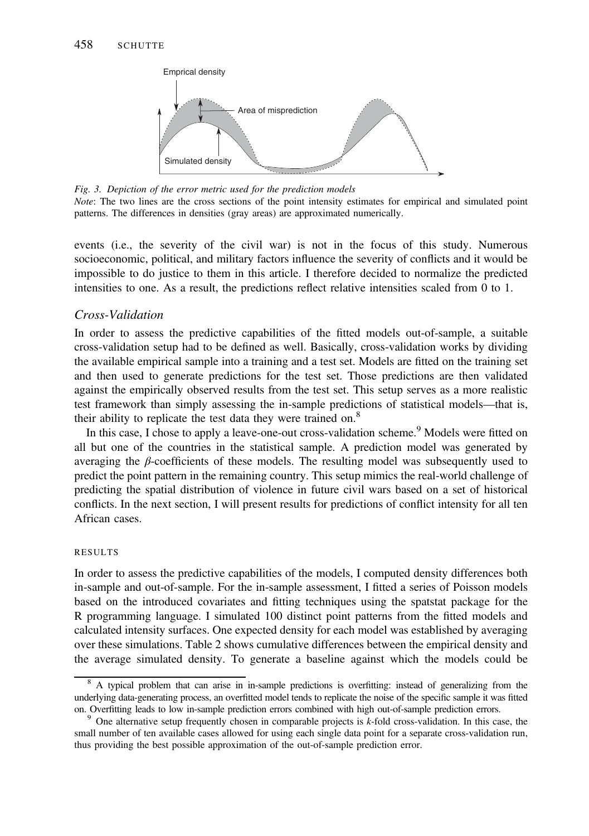<span id="page-11-0"></span>

Fig. 3. Depiction of the error metric used for the prediction models

Note: The two lines are the cross sections of the point intensity estimates for empirical and simulated point patterns. The differences in densities (gray areas) are approximated numerically.

events (i.e., the severity of the civil war) is not in the focus of this study. Numerous socioeconomic, political, and military factors influence the severity of conflicts and it would be impossible to do justice to them in this article. I therefore decided to normalize the predicted intensities to one. As a result, the predictions reflect relative intensities scaled from 0 to 1.

### Cross-Validation

In order to assess the predictive capabilities of the fitted models out-of-sample, a suitable cross-validation setup had to be defined as well. Basically, cross-validation works by dividing the available empirical sample into a training and a test set. Models are fitted on the training set and then used to generate predictions for the test set. Those predictions are then validated against the empirically observed results from the test set. This setup serves as a more realistic test framework than simply assessing the in-sample predictions of statistical models—that is, their ability to replicate the test data they were trained on.<sup>8</sup>

In this case, I chose to apply a leave-one-out cross-validation scheme.<sup>9</sup> Models were fitted on all but one of the countries in the statistical sample. A prediction model was generated by averaging the  $β$ -coefficients of these models. The resulting model was subsequently used to predict the point pattern in the remaining country. This setup mimics the real-world challenge of predicting the spatial distribution of violence in future civil wars based on a set of historical conflicts. In the next section, I will present results for predictions of conflict intensity for all ten African cases.

## RESULTS

In order to assess the predictive capabilities of the models, I computed density differences both in-sample and out-of-sample. For the in-sample assessment, I fitted a series of Poisson models based on the introduced covariates and fitting techniques using the spatstat package for the R programming language. I simulated 100 distinct point patterns from the fitted models and calculated intensity surfaces. One expected density for each model was established by averaging over these simulations. [Table 2](#page-12-0) shows cumulative differences between the empirical density and the average simulated density. To generate a baseline against which the models could be

<sup>&</sup>lt;sup>8</sup> A typical problem that can arise in in-sample predictions is overfitting: instead of generalizing from the underlying data-generating process, an overfitted model tends to replicate the noise of the specific sample it was fitted<br>on. Overfitting leads to low in-sample prediction errors combined with high out-of-sample prediction

 $9$  One alternative setup frequently chosen in comparable projects is k-fold cross-validation. In this case, the small number of ten available cases allowed for using each single data point for a separate cross-validation run, thus providing the best possible approximation of the out-of-sample prediction error.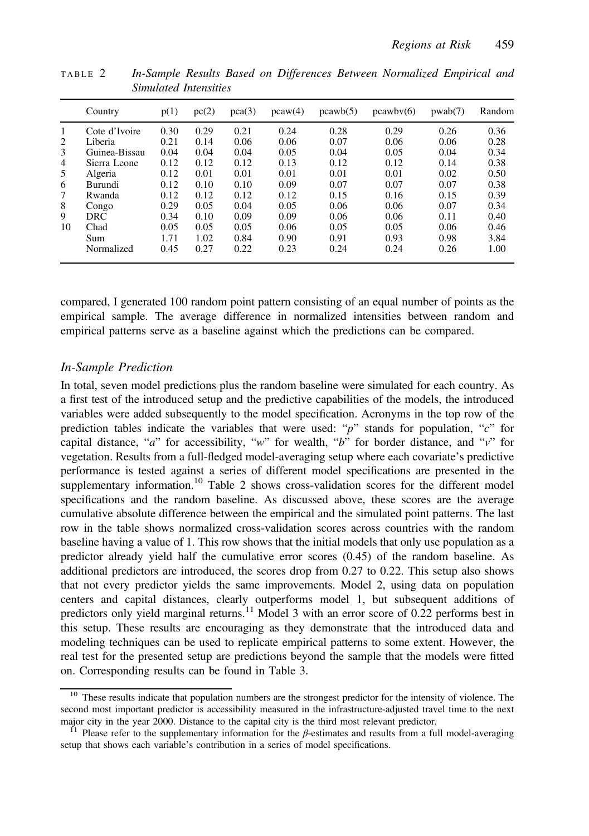|                | Country       | p(1) | pc(2) | pca(3) | pcaw(4) | pcawb(5) | pcawbv(6) | p wab(7) | Random |
|----------------|---------------|------|-------|--------|---------|----------|-----------|----------|--------|
| 1              | Cote d'Ivoire | 0.30 | 0.29  | 0.21   | 0.24    | 0.28     | 0.29      | 0.26     | 0.36   |
| 2              | Liberia       | 0.21 | 0.14  | 0.06   | 0.06    | 0.07     | 0.06      | 0.06     | 0.28   |
| 3              | Guinea-Bissau | 0.04 | 0.04  | 0.04   | 0.05    | 0.04     | 0.05      | 0.04     | 0.34   |
| $\overline{4}$ | Sierra Leone  | 0.12 | 0.12  | 0.12   | 0.13    | 0.12     | 0.12      | 0.14     | 0.38   |
| 5              | Algeria       | 0.12 | 0.01  | 0.01   | 0.01    | 0.01     | 0.01      | 0.02     | 0.50   |
| 6              | Burundi       | 0.12 | 0.10  | 0.10   | 0.09    | 0.07     | 0.07      | 0.07     | 0.38   |
| 7              | Rwanda        | 0.12 | 0.12  | 0.12   | 0.12    | 0.15     | 0.16      | 0.15     | 0.39   |
| 8              | Congo         | 0.29 | 0.05  | 0.04   | 0.05    | 0.06     | 0.06      | 0.07     | 0.34   |
| 9              | <b>DRC</b>    | 0.34 | 0.10  | 0.09   | 0.09    | 0.06     | 0.06      | 0.11     | 0.40   |
| 10             | Chad          | 0.05 | 0.05  | 0.05   | 0.06    | 0.05     | 0.05      | 0.06     | 0.46   |
|                | Sum           | 1.71 | 1.02  | 0.84   | 0.90    | 0.91     | 0.93      | 0.98     | 3.84   |
|                | Normalized    | 0.45 | 0.27  | 0.22   | 0.23    | 0.24     | 0.24      | 0.26     | 1.00   |

<span id="page-12-0"></span>TABLE 2 In-Sample Results Based on Differences Between Normalized Empirical and Simulated Intensities

compared, I generated 100 random point pattern consisting of an equal number of points as the empirical sample. The average difference in normalized intensities between random and empirical patterns serve as a baseline against which the predictions can be compared.

## In-Sample Prediction

In total, seven model predictions plus the random baseline were simulated for each country. As a first test of the introduced setup and the predictive capabilities of the models, the introduced variables were added subsequently to the model specification. Acronyms in the top row of the prediction tables indicate the variables that were used: "p" stands for population, "c" for capital distance, "a" for accessibility, "w" for wealth, "b" for border distance, and "v" for vegetation. Results from a full-fledged model-averaging setup where each covariate's predictive performance is tested against a series of different model specifications are presented in the supplementary information.<sup>10</sup> Table 2 shows cross-validation scores for the different model specifications and the random baseline. As discussed above, these scores are the average cumulative absolute difference between the empirical and the simulated point patterns. The last row in the table shows normalized cross-validation scores across countries with the random baseline having a value of 1. This row shows that the initial models that only use population as a predictor already yield half the cumulative error scores (0.45) of the random baseline. As additional predictors are introduced, the scores drop from 0.27 to 0.22. This setup also shows that not every predictor yields the same improvements. Model 2, using data on population centers and capital distances, clearly outperforms model 1, but subsequent additions of predictors only yield marginal returns.<sup>11</sup> Model 3 with an error score of  $0.22$  performs best in this setup. These results are encouraging as they demonstrate that the introduced data and modeling techniques can be used to replicate empirical patterns to some extent. However, the real test for the presented setup are predictions beyond the sample that the models were fitted on. Corresponding results can be found in [Table 3.](#page-13-0)

<sup>&</sup>lt;sup>10</sup> These results indicate that population numbers are the strongest predictor for the intensity of violence. The second most important predictor is accessibility measured in the infrastructure-adjusted travel time to the next major city in the year 2000. Distance to the capital city is the third most relevant predictor.<br><sup>11</sup> Please refer to the supplementary information for the *β*-estimates and results from a full model-averaging

setup that shows each variable's contribution in a series of model specifications.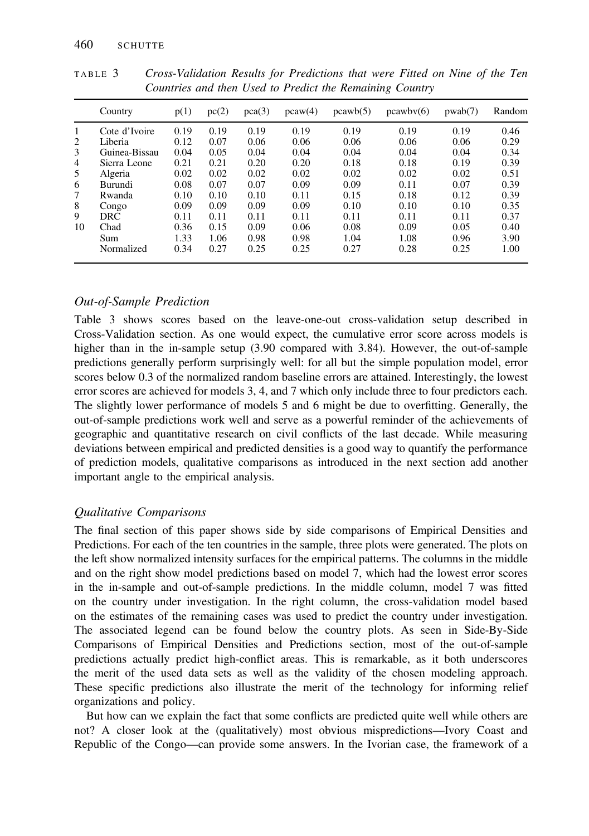|                | Country       | p(1) | pc(2) | pca(3) | pcaw(4) | pcawb(5) | pcawbv(6) | p wab(7) | Random |
|----------------|---------------|------|-------|--------|---------|----------|-----------|----------|--------|
| 1              | Cote d'Ivoire | 0.19 | 0.19  | 0.19   | 0.19    | 0.19     | 0.19      | 0.19     | 0.46   |
| 2              | Liberia       | 0.12 | 0.07  | 0.06   | 0.06    | 0.06     | 0.06      | 0.06     | 0.29   |
| 3              | Guinea-Bissau | 0.04 | 0.05  | 0.04   | 0.04    | 0.04     | 0.04      | 0.04     | 0.34   |
| $\overline{4}$ | Sierra Leone  | 0.21 | 0.21  | 0.20   | 0.20    | 0.18     | 0.18      | 0.19     | 0.39   |
| 5              | Algeria       | 0.02 | 0.02  | 0.02   | 0.02    | 0.02     | 0.02      | 0.02     | 0.51   |
| 6              | Burundi       | 0.08 | 0.07  | 0.07   | 0.09    | 0.09     | 0.11      | 0.07     | 0.39   |
| 7              | Rwanda        | 0.10 | 0.10  | 0.10   | 0.11    | 0.15     | 0.18      | 0.12     | 0.39   |
| 8              | Congo         | 0.09 | 0.09  | 0.09   | 0.09    | 0.10     | 0.10      | 0.10     | 0.35   |
| 9              | DRC.          | 0.11 | 0.11  | 0.11   | 0.11    | 0.11     | 0.11      | 0.11     | 0.37   |
| 10             | Chad          | 0.36 | 0.15  | 0.09   | 0.06    | 0.08     | 0.09      | 0.05     | 0.40   |
|                | Sum           | 1.33 | 1.06  | 0.98   | 0.98    | 1.04     | 1.08      | 0.96     | 3.90   |
|                | Normalized    | 0.34 | 0.27  | 0.25   | 0.25    | 0.27     | 0.28      | 0.25     | 1.00   |

<span id="page-13-0"></span>TABLE 3 Cross-Validation Results for Predictions that were Fitted on Nine of the Ten Countries and then Used to Predict the Remaining Country

## Out-of-Sample Prediction

Table 3 shows scores based on the leave-one-out cross-validation setup described in Cross-Validation section. As one would expect, the cumulative error score across models is higher than in the in-sample setup (3.90 compared with 3.84). However, the out-of-sample predictions generally perform surprisingly well: for all but the simple population model, error scores below 0.3 of the normalized random baseline errors are attained. Interestingly, the lowest error scores are achieved for models 3, 4, and 7 which only include three to four predictors each. The slightly lower performance of models 5 and 6 might be due to overfitting. Generally, the out-of-sample predictions work well and serve as a powerful reminder of the achievements of geographic and quantitative research on civil conflicts of the last decade. While measuring deviations between empirical and predicted densities is a good way to quantify the performance of prediction models, qualitative comparisons as introduced in the next section add another important angle to the empirical analysis.

## Qualitative Comparisons

The final section of this paper shows side by side comparisons of Empirical Densities and Predictions. For each of the ten countries in the sample, three plots were generated. The plots on the left show normalized intensity surfaces for the empirical patterns. The columns in the middle and on the right show model predictions based on model 7, which had the lowest error scores in the in-sample and out-of-sample predictions. In the middle column, model 7 was fitted on the country under investigation. In the right column, the cross-validation model based on the estimates of the remaining cases was used to predict the country under investigation. The associated legend can be found below the country plots. As seen in Side-By-Side Comparisons of Empirical Densities and Predictions section, most of the out-of-sample predictions actually predict high-conflict areas. This is remarkable, as it both underscores the merit of the used data sets as well as the validity of the chosen modeling approach. These specific predictions also illustrate the merit of the technology for informing relief organizations and policy.

But how can we explain the fact that some conflicts are predicted quite well while others are not? A closer look at the (qualitatively) most obvious mispredictions—Ivory Coast and Republic of the Congo—can provide some answers. In the Ivorian case, the framework of a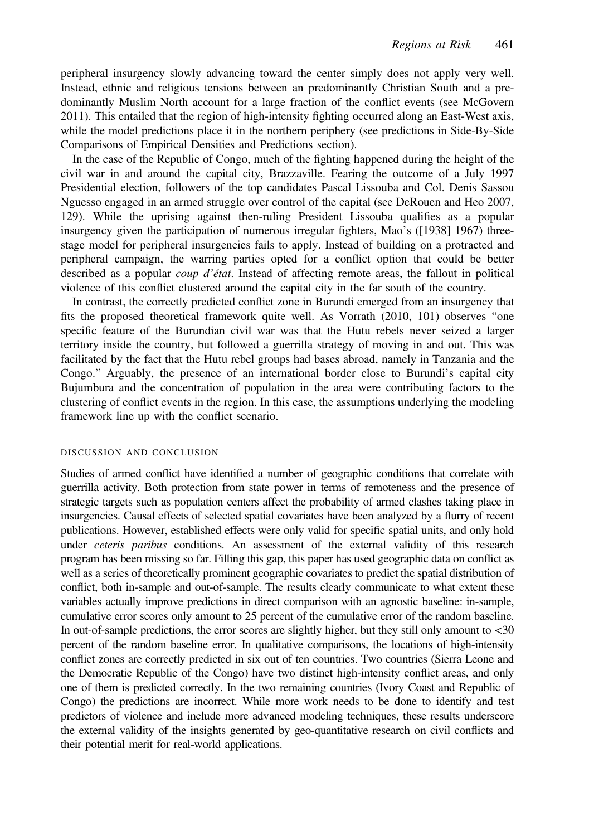peripheral insurgency slowly advancing toward the center simply does not apply very well. Instead, ethnic and religious tensions between an predominantly Christian South and a predominantly Muslim North account for a large fraction of the conflict events (see McGovern [2011\)](#page-17-0). This entailed that the region of high-intensity fighting occurred along an East-West axis, while the model predictions place it in the northern periphery (see predictions in Side-By-Side Comparisons of Empirical Densities and Predictions section).

In the case of the Republic of Congo, much of the fighting happened during the height of the civil war in and around the capital city, Brazzaville. Fearing the outcome of a July 1997 Presidential election, followers of the top candidates Pascal Lissouba and Col. Denis Sassou Nguesso engaged in an armed struggle over control of the capital (see DeRouen and Heo [2007](#page-16-0), 129). While the uprising against then-ruling President Lissouba qualifies as a popular insurgency given the participation of numerous irregular fighters, Mao's ([1938] [1967](#page-17-0)) threestage model for peripheral insurgencies fails to apply. Instead of building on a protracted and peripheral campaign, the warring parties opted for a conflict option that could be better described as a popular *coup d'état*. Instead of affecting remote areas, the fallout in political violence of this conflict clustered around the capital city in the far south of the country.

In contrast, the correctly predicted conflict zone in Burundi emerged from an insurgency that fits the proposed theoretical framework quite well. As Vorrath ([2010](#page-17-0), 101) observes "one specific feature of the Burundian civil war was that the Hutu rebels never seized a larger territory inside the country, but followed a guerrilla strategy of moving in and out. This was facilitated by the fact that the Hutu rebel groups had bases abroad, namely in Tanzania and the Congo." Arguably, the presence of an international border close to Burundi's capital city Bujumbura and the concentration of population in the area were contributing factors to the clustering of conflict events in the region. In this case, the assumptions underlying the modeling framework line up with the conflict scenario.

#### DISCUSSION AND CONCLUSION

Studies of armed conflict have identified a number of geographic conditions that correlate with guerrilla activity. Both protection from state power in terms of remoteness and the presence of strategic targets such as population centers affect the probability of armed clashes taking place in insurgencies. Causal effects of selected spatial covariates have been analyzed by a flurry of recent publications. However, established effects were only valid for specific spatial units, and only hold under *ceteris paribus* conditions. An assessment of the external validity of this research program has been missing so far. Filling this gap, this paper has used geographic data on conflict as well as a series of theoretically prominent geographic covariates to predict the spatial distribution of conflict, both in-sample and out-of-sample. The results clearly communicate to what extent these variables actually improve predictions in direct comparison with an agnostic baseline: in-sample, cumulative error scores only amount to 25 percent of the cumulative error of the random baseline. In out-of-sample predictions, the error scores are slightly higher, but they still only amount to <30 percent of the random baseline error. In qualitative comparisons, the locations of high-intensity conflict zones are correctly predicted in six out of ten countries. Two countries (Sierra Leone and the Democratic Republic of the Congo) have two distinct high-intensity conflict areas, and only one of them is predicted correctly. In the two remaining countries (Ivory Coast and Republic of Congo) the predictions are incorrect. While more work needs to be done to identify and test predictors of violence and include more advanced modeling techniques, these results underscore the external validity of the insights generated by geo-quantitative research on civil conflicts and their potential merit for real-world applications.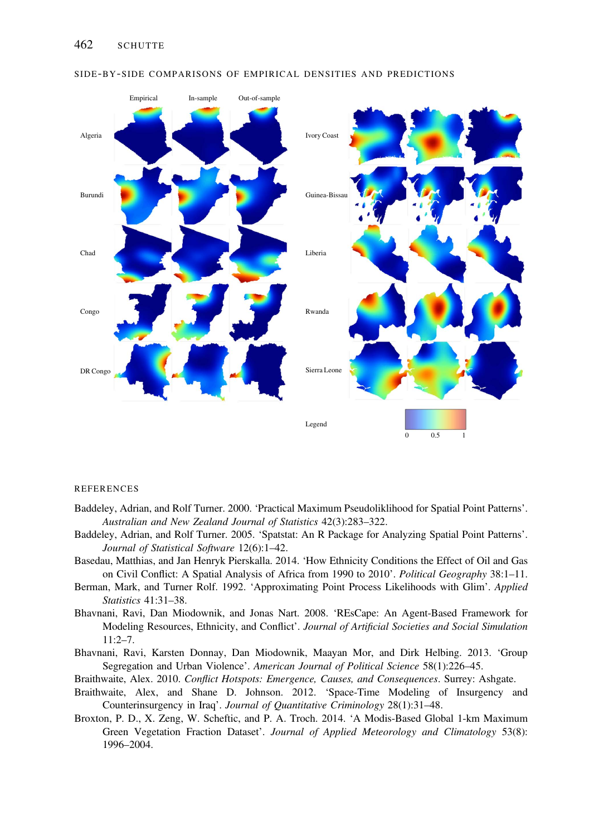<span id="page-15-0"></span>

#### SIDE-BY-SIDE COMPARISONS OF EMPIRICAL DENSITIES AND PREDICTIONS

#### **REFERENCES**

- Baddeley, Adrian, and Rolf Turner. 2000. 'Practical Maximum Pseudoliklihood for Spatial Point Patterns'. Australian and New Zealand Journal of Statistics 42(3):283–322.
- Baddeley, Adrian, and Rolf Turner. 2005. 'Spatstat: An R Package for Analyzing Spatial Point Patterns'. Journal of Statistical Software 12(6):1–42.
- Basedau, Matthias, and Jan Henryk Pierskalla. 2014. 'How Ethnicity Conditions the Effect of Oil and Gas on Civil Conflict: A Spatial Analysis of Africa from 1990 to 2010'. Political Geography 38:1–11.
- Berman, Mark, and Turner Rolf. 1992. 'Approximating Point Process Likelihoods with Glim'. Applied Statistics 41:31–38.
- Bhavnani, Ravi, Dan Miodownik, and Jonas Nart. 2008. 'REsCape: An Agent-Based Framework for Modeling Resources, Ethnicity, and Conflict'. Journal of Artificial Societies and Social Simulation 11:2–7.
- Bhavnani, Ravi, Karsten Donnay, Dan Miodownik, Maayan Mor, and Dirk Helbing. 2013. 'Group Segregation and Urban Violence'. American Journal of Political Science 58(1):226–45.
- Braithwaite, Alex. 2010. Conflict Hotspots: Emergence, Causes, and Consequences. Surrey: Ashgate.
- Braithwaite, Alex, and Shane D. Johnson. 2012. 'Space-Time Modeling of Insurgency and Counterinsurgency in Iraq'. Journal of Quantitative Criminology 28(1):31–48.
- Broxton, P. D., X. Zeng, W. Scheftic, and P. A. Troch. 2014. 'A Modis-Based Global 1-km Maximum Green Vegetation Fraction Dataset'. Journal of Applied Meteorology and Climatology 53(8): 1996–2004.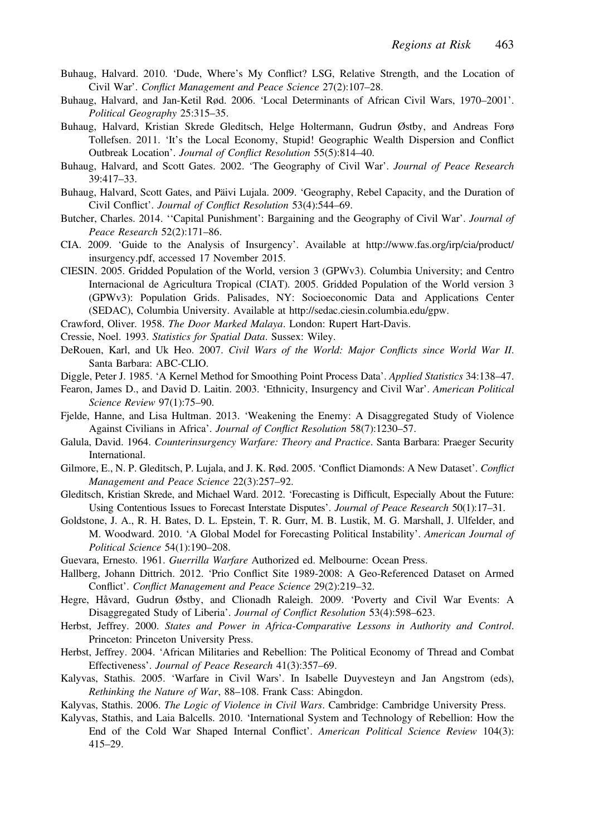- <span id="page-16-0"></span>Buhaug, Halvard. 2010. 'Dude, Where's My Conflict? LSG, Relative Strength, and the Location of Civil War'. Conflict Management and Peace Science 27(2):107–28.
- Buhaug, Halvard, and Jan-Ketil Rød. 2006. 'Local Determinants of African Civil Wars, 1970–2001'. Political Geography 25:315–35.
- Buhaug, Halvard, Kristian Skrede Gleditsch, Helge Holtermann, Gudrun Østby, and Andreas Forø Tollefsen. 2011. 'It's the Local Economy, Stupid! Geographic Wealth Dispersion and Conflict Outbreak Location'. Journal of Conflict Resolution 55(5):814–40.
- Buhaug, Halvard, and Scott Gates. 2002. 'The Geography of Civil War'. Journal of Peace Research 39:417–33.
- Buhaug, Halvard, Scott Gates, and Päivi Lujala. 2009. 'Geography, Rebel Capacity, and the Duration of Civil Conflict'. Journal of Conflict Resolution 53(4):544–69.
- Butcher, Charles. 2014. "Capital Punishment': Bargaining and the Geography of Civil War'. Journal of Peace Research 52(2):171–86.
- CIA. 2009. 'Guide to the Analysis of Insurgency'. Available at [http://www.fas.org/irp/cia/product/](http://www.fas.org/irp/cia/product/insurgency.pdf) [insurgency.pdf,](http://www.fas.org/irp/cia/product/insurgency.pdf) accessed 17 November 2015.
- CIESIN. 2005. Gridded Population of the World, version 3 (GPWv3). Columbia University; and Centro Internacional de Agricultura Tropical (CIAT). 2005. Gridded Population of the World version 3 (GPWv3): Population Grids. Palisades, NY: Socioeconomic Data and Applications Center (SEDAC), Columbia University. Available at [http://sedac.ciesin.columbia.edu/gpw](http://sedac.�ciesin.columbia.edu/gpw).

Crawford, Oliver. 1958. The Door Marked Malaya. London: Rupert Hart-Davis.

- Cressie, Noel. 1993. Statistics for Spatial Data. Sussex: Wiley.
- DeRouen, Karl, and Uk Heo. 2007. Civil Wars of the World: Major Conflicts since World War II. Santa Barbara: ABC-CLIO.
- Diggle, Peter J. 1985. 'A Kernel Method for Smoothing Point Process Data'. Applied Statistics 34:138–47.
- Fearon, James D., and David D. Laitin. 2003. 'Ethnicity, Insurgency and Civil War'. American Political Science Review 97(1):75–90.
- Fjelde, Hanne, and Lisa Hultman. 2013. 'Weakening the Enemy: A Disaggregated Study of Violence Against Civilians in Africa'. Journal of Conflict Resolution 58(7):1230–57.
- Galula, David. 1964. Counterinsurgency Warfare: Theory and Practice. Santa Barbara: Praeger Security International.
- Gilmore, E., N. P. Gleditsch, P. Lujala, and J. K. Rød. 2005. 'Conflict Diamonds: A New Dataset'. Conflict Management and Peace Science 22(3):257–92.
- Gleditsch, Kristian Skrede, and Michael Ward. 2012. 'Forecasting is Difficult, Especially About the Future: Using Contentious Issues to Forecast Interstate Disputes'. Journal of Peace Research 50(1):17–31.
- Goldstone, J. A., R. H. Bates, D. L. Epstein, T. R. Gurr, M. B. Lustik, M. G. Marshall, J. Ulfelder, and M. Woodward. 2010. 'A Global Model for Forecasting Political Instability'. American Journal of Political Science 54(1):190–208.
- Guevara, Ernesto. 1961. Guerrilla Warfare Authorized ed. Melbourne: Ocean Press.
- Hallberg, Johann Dittrich. 2012. 'Prio Conflict Site 1989-2008: A Geo-Referenced Dataset on Armed Conflict'. Conflict Management and Peace Science 29(2):219–32.
- Hegre, Håvard, Gudrun Østby, and Clionadh Raleigh. 2009. 'Poverty and Civil War Events: A Disaggregated Study of Liberia'. Journal of Conflict Resolution 53(4):598–623.
- Herbst, Jeffrey. 2000. States and Power in Africa-Comparative Lessons in Authority and Control. Princeton: Princeton University Press.
- Herbst, Jeffrey. 2004. 'African Militaries and Rebellion: The Political Economy of Thread and Combat Effectiveness'. Journal of Peace Research 41(3):357–69.
- Kalyvas, Stathis. 2005. 'Warfare in Civil Wars'. In Isabelle Duyvesteyn and Jan Angstrom (eds), Rethinking the Nature of War, 88–108. Frank Cass: Abingdon.

Kalyvas, Stathis. 2006. The Logic of Violence in Civil Wars. Cambridge: Cambridge University Press.

Kalyvas, Stathis, and Laia Balcells. 2010. 'International System and Technology of Rebellion: How the End of the Cold War Shaped Internal Conflict'. American Political Science Review 104(3): 415–29.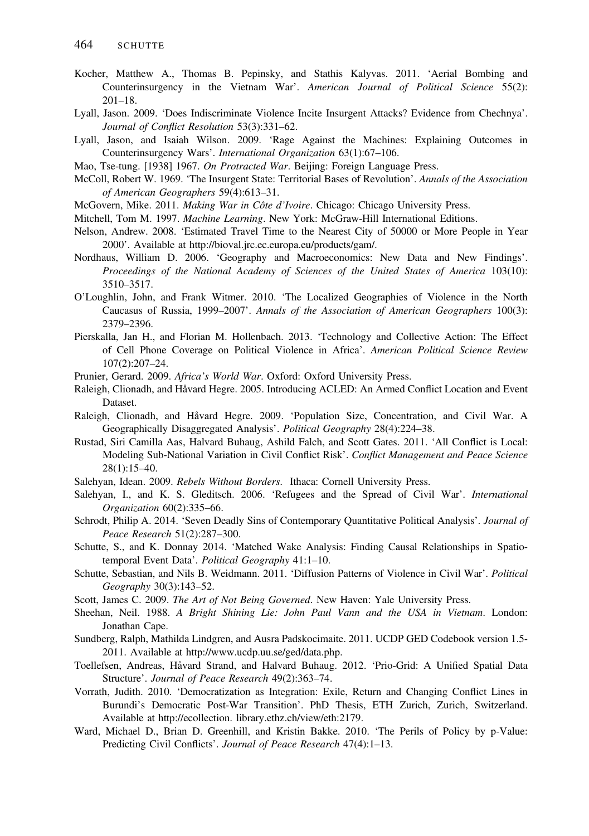- <span id="page-17-0"></span>Kocher, Matthew A., Thomas B. Pepinsky, and Stathis Kalyvas. 2011. 'Aerial Bombing and Counterinsurgency in the Vietnam War'. American Journal of Political Science 55(2): 201–18.
- Lyall, Jason. 2009. 'Does Indiscriminate Violence Incite Insurgent Attacks? Evidence from Chechnya'. Journal of Conflict Resolution 53(3):331–62.
- Lyall, Jason, and Isaiah Wilson. 2009. 'Rage Against the Machines: Explaining Outcomes in Counterinsurgency Wars'. International Organization 63(1):67–106.
- Mao, Tse-tung. [1938] 1967. On Protracted War. Beijing: Foreign Language Press.
- McColl, Robert W. 1969. 'The Insurgent State: Territorial Bases of Revolution'. Annals of the Association of American Geographers 59(4):613–31.
- McGovern, Mike. 2011. Making War in Côte d'Ivoire. Chicago: Chicago University Press.
- Mitchell, Tom M. 1997. Machine Learning. New York: McGraw-Hill International Editions.
- Nelson, Andrew. 2008. 'Estimated Travel Time to the Nearest City of 50000 or More People in Year 2000'. Available at [http://bioval.jrc.ec.europa.eu/products/gam/.](http://bioval.jrc.ec.europa.eu/products/gam/)
- Nordhaus, William D. 2006. 'Geography and Macroeconomics: New Data and New Findings'. Proceedings of the National Academy of Sciences of the United States of America 103(10): 3510–3517.
- O'Loughlin, John, and Frank Witmer. 2010. 'The Localized Geographies of Violence in the North Caucasus of Russia, 1999–2007'. Annals of the Association of American Geographers 100(3): 2379–2396.
- Pierskalla, Jan H., and Florian M. Hollenbach. 2013. 'Technology and Collective Action: The Effect of Cell Phone Coverage on Political Violence in Africa'. American Political Science Review 107(2):207–24.
- Prunier, Gerard. 2009. Africa's World War. Oxford: Oxford University Press.
- Raleigh, Clionadh, and Håvard Hegre. 2005. Introducing ACLED: An Armed Conflict Location and Event Dataset.
- Raleigh, Clionadh, and Håvard Hegre. 2009. 'Population Size, Concentration, and Civil War. A Geographically Disaggregated Analysis'. Political Geography 28(4):224–38.
- Rustad, Siri Camilla Aas, Halvard Buhaug, Ashild Falch, and Scott Gates. 2011. 'All Conflict is Local: Modeling Sub-National Variation in Civil Conflict Risk'. Conflict Management and Peace Science 28(1):15–40.
- Salehyan, Idean. 2009. Rebels Without Borders. Ithaca: Cornell University Press.
- Salehyan, I., and K. S. Gleditsch. 2006. 'Refugees and the Spread of Civil War'. International Organization 60(2):335–66.
- Schrodt, Philip A. 2014. 'Seven Deadly Sins of Contemporary Quantitative Political Analysis'. Journal of Peace Research 51(2):287–300.
- Schutte, S., and K. Donnay 2014. 'Matched Wake Analysis: Finding Causal Relationships in Spatiotemporal Event Data'. Political Geography 41:1–10.
- Schutte, Sebastian, and Nils B. Weidmann. 2011. 'Diffusion Patterns of Violence in Civil War'. Political Geography 30(3):143–52.
- Scott, James C. 2009. The Art of Not Being Governed. New Haven: Yale University Press.
- Sheehan, Neil. 1988. A Bright Shining Lie: John Paul Vann and the USA in Vietnam. London: Jonathan Cape.
- Sundberg, Ralph, Mathilda Lindgren, and Ausra Padskocimaite. 2011. UCDP GED Codebook version 1.5- 2011. Available at [http://www.ucdp.uu.se/ged/data.php.](http://www.ucdp.uu.se/ged/data.php)
- Toellefsen, Andreas, Håvard Strand, and Halvard Buhaug. 2012. 'Prio-Grid: A Unified Spatial Data Structure'. Journal of Peace Research 49(2):363–74.
- Vorrath, Judith. 2010. 'Democratization as Integration: Exile, Return and Changing Conflict Lines in Burundi's Democratic Post-War Transition'. PhD Thesis, ETH Zurich, Zurich, Switzerland. Available at<http://ecollection. library.ethz.ch/view/eth:2179>.
- Ward, Michael D., Brian D. Greenhill, and Kristin Bakke. 2010. 'The Perils of Policy by p-Value: Predicting Civil Conflicts'. Journal of Peace Research 47(4):1–13.